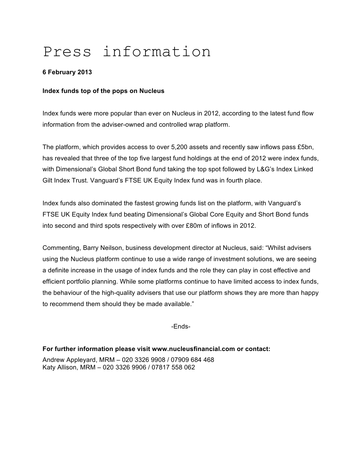# Press information

## **6 February 2013**

#### **Index funds top of the pops on Nucleus**

Index funds were more popular than ever on Nucleus in 2012, according to the latest fund flow information from the adviser-owned and controlled wrap platform.

The platform, which provides access to over 5,200 assets and recently saw inflows pass £5bn, has revealed that three of the top five largest fund holdings at the end of 2012 were index funds, with Dimensional's Global Short Bond fund taking the top spot followed by L&G's Index Linked Gilt Index Trust. Vanguard's FTSE UK Equity Index fund was in fourth place.

Index funds also dominated the fastest growing funds list on the platform, with Vanguard's FTSE UK Equity Index fund beating Dimensional's Global Core Equity and Short Bond funds into second and third spots respectively with over £80m of inflows in 2012.

Commenting, Barry Neilson, business development director at Nucleus, said: "Whilst advisers using the Nucleus platform continue to use a wide range of investment solutions, we are seeing a definite increase in the usage of index funds and the role they can play in cost effective and efficient portfolio planning. While some platforms continue to have limited access to index funds, the behaviour of the high-quality advisers that use our platform shows they are more than happy to recommend them should they be made available."

-Ends-

#### **For further information please visit www.nucleusfinancial.com or contact:**

Andrew Appleyard, MRM – 020 3326 9908 / 07909 684 468 Katy Allison, MRM – 020 3326 9906 / 07817 558 062